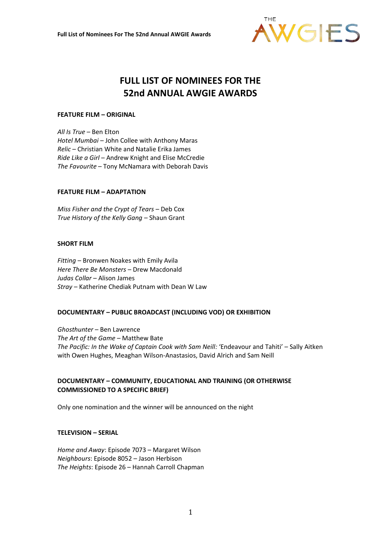

# **FULL LIST OF NOMINEES FOR THE 52nd ANNUAL AWGIE AWARDS**

## **FEATURE FILM – ORIGINAL**

*All Is True* – Ben Elton *Hotel Mumbai* – John Collee with Anthony Maras *Relic* – Christian White and Natalie Erika James *Ride Like a Girl* – Andrew Knight and Elise McCredie *The Favourite* – Tony McNamara with Deborah Davis

#### **FEATURE FILM – ADAPTATION**

*Miss Fisher and the Crypt of Tears* – Deb Cox *True History of the Kelly Gang* – Shaun Grant

#### **SHORT FILM**

*Fitting* – Bronwen Noakes with Emily Avila *Here There Be Monsters* – Drew Macdonald *Judas Collar* – Alison James *Stray* – Katherine Chediak Putnam with Dean W Law

# **DOCUMENTARY – PUBLIC BROADCAST (INCLUDING VOD) OR EXHIBITION**

*Ghosthunter* – Ben Lawrence *The Art of the Game* – Matthew Bate *The Pacific: In the Wake of Captain Cook with Sam Neill:* 'Endeavour and Tahiti' – Sally Aitken with Owen Hughes, Meaghan Wilson-Anastasios, David Alrich and Sam Neill

# **DOCUMENTARY – COMMUNITY, EDUCATIONAL AND TRAINING (OR OTHERWISE COMMISSIONED TO A SPECIFIC BRIEF)**

Only one nomination and the winner will be announced on the night

#### **TELEVISION – SERIAL**

*Home and Away*: Episode 7073 – Margaret Wilson *Neighbours*: Episode 8052 – Jason Herbison *The Heights*: Episode 26 – Hannah Carroll Chapman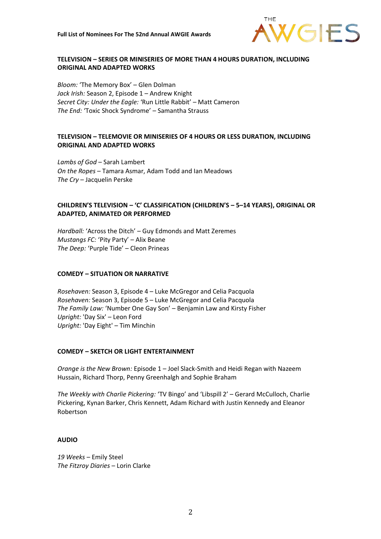

## **TELEVISION – SERIES OR MINISERIES OF MORE THAN 4 HOURS DURATION, INCLUDING ORIGINAL AND ADAPTED WORKS**

*Bloom:* 'The Memory Box' – Glen Dolman *Jack Irish:* Season 2, Episode 1 – Andrew Knight *Secret City: Under the Eagle:* 'Run Little Rabbit' – Matt Cameron *The End:* 'Toxic Shock Syndrome' – Samantha Strauss

## **TELEVISION – TELEMOVIE OR MINISERIES OF 4 HOURS OR LESS DURATION, INCLUDING ORIGINAL AND ADAPTED WORKS**

*Lambs of God* – Sarah Lambert *On the Ropes* – Tamara Asmar, Adam Todd and Ian Meadows *The Cry* – Jacquelin Perske

#### **CHILDREN'S TELEVISION – 'C' CLASSIFICATION (CHILDREN'S – 5–14 YEARS), ORIGINAL OR ADAPTED, ANIMATED OR PERFORMED**

*Hardball:* 'Across the Ditch' – Guy Edmonds and Matt Zeremes *Mustangs FC:* 'Pity Party' – Alix Beane *The Deep:* 'Purple Tide' – Cleon Prineas

## **COMEDY – SITUATION OR NARRATIVE**

*Rosehaven:* Season 3, Episode 4 – Luke McGregor and Celia Pacquola *Rosehaven:* Season 3, Episode 5 – Luke McGregor and Celia Pacquola *The Family Law:* 'Number One Gay Son' – Benjamin Law and Kirsty Fisher *Upright:* 'Day Six' – Leon Ford *Upright:* 'Day Eight' – Tim Minchin

#### **COMEDY – SKETCH OR LIGHT ENTERTAINMENT**

*Orange is the New Brown:* Episode 1 – Joel Slack-Smith and Heidi Regan with Nazeem Hussain, Richard Thorp, Penny Greenhalgh and Sophie Braham

*The Weekly with Charlie Pickering:* 'TV Bingo' and 'Libspill 2' – Gerard McCulloch, Charlie Pickering, Kynan Barker, Chris Kennett, Adam Richard with Justin Kennedy and Eleanor Robertson

#### **AUDIO**

*19 Weeks* – Emily Steel *The Fitzroy Diaries* – Lorin Clarke